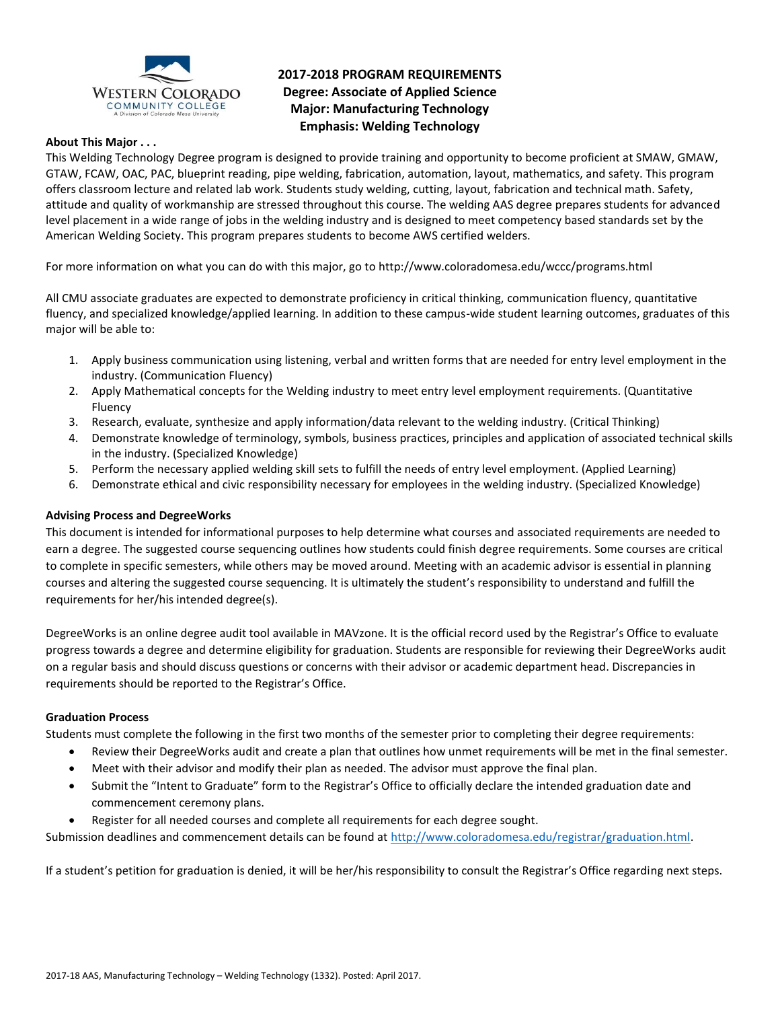

# **2017-2018 PROGRAM REQUIREMENTS Degree: Associate of Applied Science Major: Manufacturing Technology Emphasis: Welding Technology**

## **About This Major . . .**

This Welding Technology Degree program is designed to provide training and opportunity to become proficient at SMAW, GMAW, GTAW, FCAW, OAC, PAC, blueprint reading, pipe welding, fabrication, automation, layout, mathematics, and safety. This program offers classroom lecture and related lab work. Students study welding, cutting, layout, fabrication and technical math. Safety, attitude and quality of workmanship are stressed throughout this course. The welding AAS degree prepares students for advanced level placement in a wide range of jobs in the welding industry and is designed to meet competency based standards set by the American Welding Society. This program prepares students to become AWS certified welders.

For more information on what you can do with this major, go to http://www.coloradomesa.edu/wccc/programs.html

All CMU associate graduates are expected to demonstrate proficiency in critical thinking, communication fluency, quantitative fluency, and specialized knowledge/applied learning. In addition to these campus-wide student learning outcomes, graduates of this major will be able to:

- 1. Apply business communication using listening, verbal and written forms that are needed for entry level employment in the industry. (Communication Fluency)
- 2. Apply Mathematical concepts for the Welding industry to meet entry level employment requirements. (Quantitative Fluency
- 3. Research, evaluate, synthesize and apply information/data relevant to the welding industry. (Critical Thinking)
- 4. Demonstrate knowledge of terminology, symbols, business practices, principles and application of associated technical skills in the industry. (Specialized Knowledge)
- 5. Perform the necessary applied welding skill sets to fulfill the needs of entry level employment. (Applied Learning)
- 6. Demonstrate ethical and civic responsibility necessary for employees in the welding industry. (Specialized Knowledge)

#### **Advising Process and DegreeWorks**

This document is intended for informational purposes to help determine what courses and associated requirements are needed to earn a degree. The suggested course sequencing outlines how students could finish degree requirements. Some courses are critical to complete in specific semesters, while others may be moved around. Meeting with an academic advisor is essential in planning courses and altering the suggested course sequencing. It is ultimately the student's responsibility to understand and fulfill the requirements for her/his intended degree(s).

DegreeWorks is an online degree audit tool available in MAVzone. It is the official record used by the Registrar's Office to evaluate progress towards a degree and determine eligibility for graduation. Students are responsible for reviewing their DegreeWorks audit on a regular basis and should discuss questions or concerns with their advisor or academic department head. Discrepancies in requirements should be reported to the Registrar's Office.

#### **Graduation Process**

Students must complete the following in the first two months of the semester prior to completing their degree requirements:

- Review their DegreeWorks audit and create a plan that outlines how unmet requirements will be met in the final semester.
- Meet with their advisor and modify their plan as needed. The advisor must approve the final plan.
- Submit the "Intent to Graduate" form to the Registrar's Office to officially declare the intended graduation date and commencement ceremony plans.
- Register for all needed courses and complete all requirements for each degree sought.

Submission deadlines and commencement details can be found at [http://www.coloradomesa.edu/registrar/graduation.html.](http://www.coloradomesa.edu/registrar/graduation.html)

If a student's petition for graduation is denied, it will be her/his responsibility to consult the Registrar's Office regarding next steps.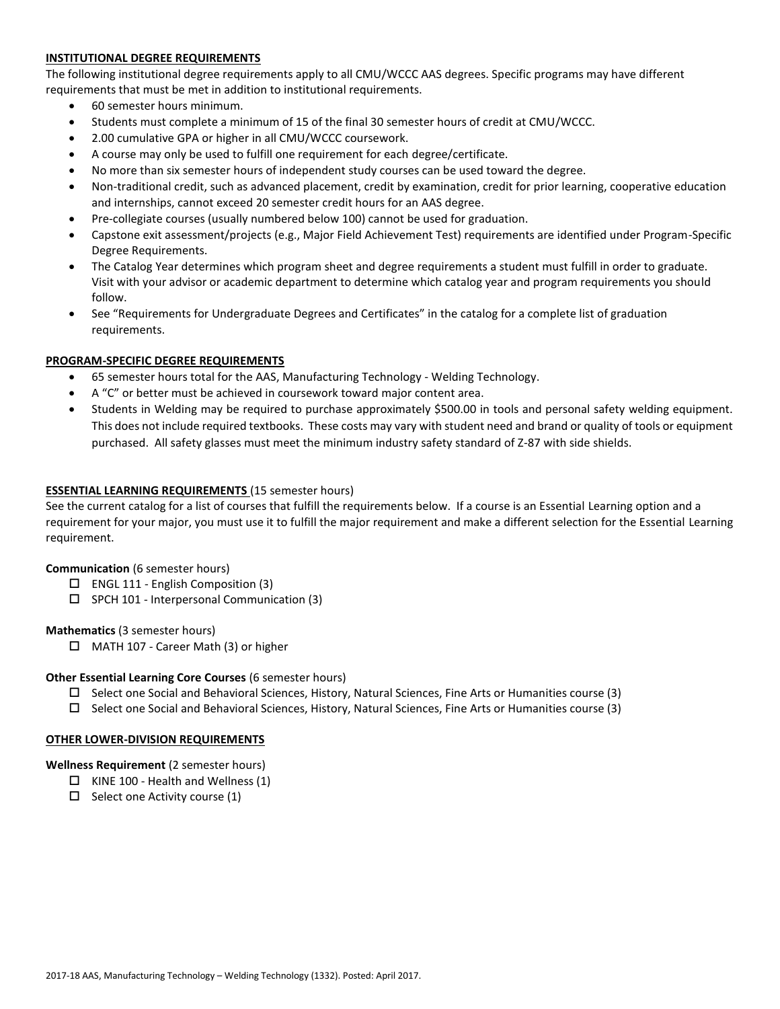# **INSTITUTIONAL DEGREE REQUIREMENTS**

The following institutional degree requirements apply to all CMU/WCCC AAS degrees. Specific programs may have different requirements that must be met in addition to institutional requirements.

- 60 semester hours minimum.
- Students must complete a minimum of 15 of the final 30 semester hours of credit at CMU/WCCC.
- 2.00 cumulative GPA or higher in all CMU/WCCC coursework.
- A course may only be used to fulfill one requirement for each degree/certificate.
- No more than six semester hours of independent study courses can be used toward the degree.
- Non-traditional credit, such as advanced placement, credit by examination, credit for prior learning, cooperative education and internships, cannot exceed 20 semester credit hours for an AAS degree.
- Pre-collegiate courses (usually numbered below 100) cannot be used for graduation.
- Capstone exit assessment/projects (e.g., Major Field Achievement Test) requirements are identified under Program-Specific Degree Requirements.
- The Catalog Year determines which program sheet and degree requirements a student must fulfill in order to graduate. Visit with your advisor or academic department to determine which catalog year and program requirements you should follow.
- See "Requirements for Undergraduate Degrees and Certificates" in the catalog for a complete list of graduation requirements.

# **PROGRAM-SPECIFIC DEGREE REQUIREMENTS**

- 65 semester hours total for the AAS, Manufacturing Technology Welding Technology.
- A "C" or better must be achieved in coursework toward major content area.
- Students in Welding may be required to purchase approximately \$500.00 in tools and personal safety welding equipment. This does not include required textbooks. These costs may vary with student need and brand or quality of tools or equipment purchased. All safety glasses must meet the minimum industry safety standard of Z-87 with side shields.

## **ESSENTIAL LEARNING REQUIREMENTS** (15 semester hours)

See the current catalog for a list of courses that fulfill the requirements below. If a course is an Essential Learning option and a requirement for your major, you must use it to fulfill the major requirement and make a different selection for the Essential Learning requirement.

#### **Communication** (6 semester hours)

- $\Box$  ENGL 111 English Composition (3)
- SPCH 101 Interpersonal Communication (3)

#### **Mathematics** (3 semester hours)

□ MATH 107 - Career Math (3) or higher

#### **Other Essential Learning Core Courses** (6 semester hours)

- $\square$  Select one Social and Behavioral Sciences, History, Natural Sciences, Fine Arts or Humanities course (3)
- $\Box$  Select one Social and Behavioral Sciences, History, Natural Sciences, Fine Arts or Humanities course (3)

#### **OTHER LOWER-DIVISION REQUIREMENTS**

#### **Wellness Requirement** (2 semester hours)

- $\Box$  KINE 100 Health and Wellness (1)
- $\Box$  Select one Activity course (1)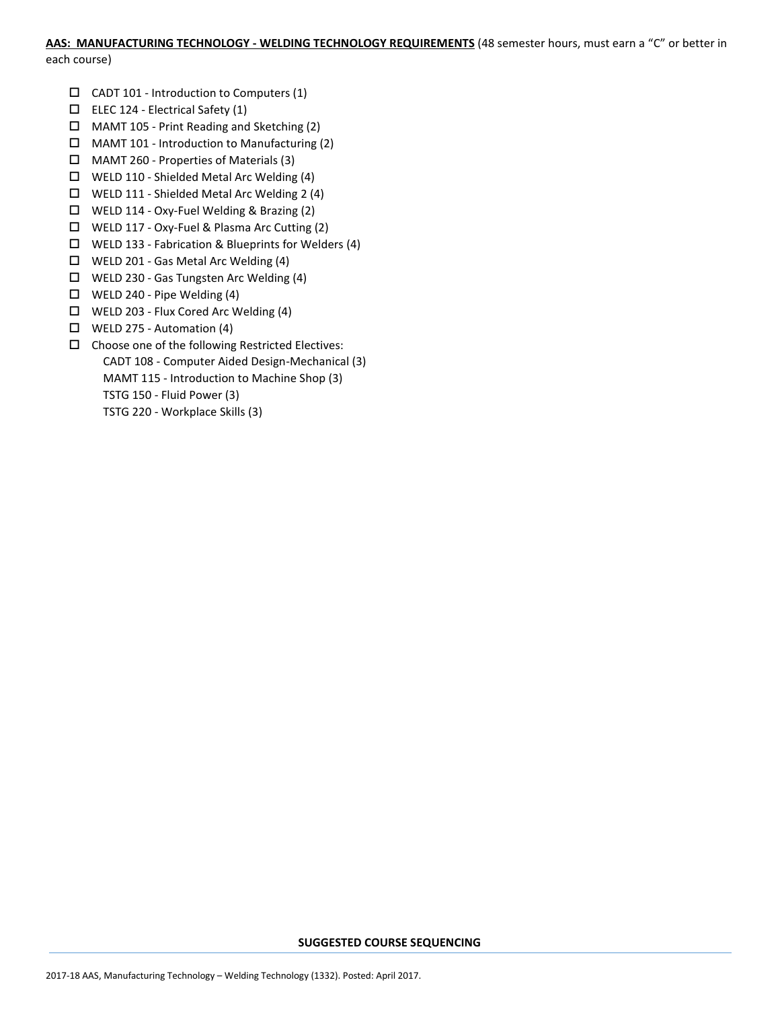## **AAS: MANUFACTURING TECHNOLOGY - WELDING TECHNOLOGY REQUIREMENTS** (48 semester hours, must earn a "C" or better in

each course)

- $\Box$  CADT 101 Introduction to Computers (1)
- $\Box$  ELEC 124 Electrical Safety (1)
- MAMT 105 Print Reading and Sketching (2)
- $\Box$  MAMT 101 Introduction to Manufacturing (2)
- MAMT 260 Properties of Materials (3)
- WELD 110 Shielded Metal Arc Welding (4)
- WELD 111 Shielded Metal Arc Welding 2 (4)
- WELD 114 Oxy-Fuel Welding & Brazing (2)
- WELD 117 Oxy-Fuel & Plasma Arc Cutting (2)
- $\Box$  WELD 133 Fabrication & Blueprints for Welders (4)
- WELD 201 Gas Metal Arc Welding (4)
- WELD 230 Gas Tungsten Arc Welding (4)
- $\Box$  WELD 240 Pipe Welding (4)
- WELD 203 Flux Cored Arc Welding (4)
- $\Box$  WELD 275 Automation (4)
- $\square$  Choose one of the following Restricted Electives: CADT 108 - Computer Aided Design-Mechanical (3) MAMT 115 - Introduction to Machine Shop (3) TSTG 150 - Fluid Power (3) TSTG 220 - Workplace Skills (3)